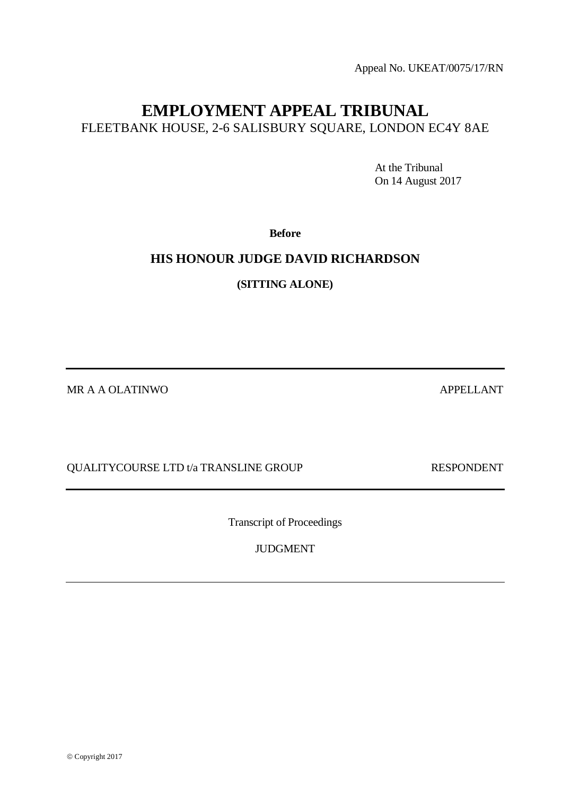© Copyright 2017

QUALITYCOURSE LTD t/a TRANSLINE GROUP RESPONDENT

Transcript of Proceedings

JUDGMENT

At the Tribunal On 14 August 2017

**Before**

**EMPLOYMENT APPEAL TRIBUNAL** FLEETBANK HOUSE, 2-6 SALISBURY SQUARE, LONDON EC4Y 8AE

# **HIS HONOUR JUDGE DAVID RICHARDSON**

**(SITTING ALONE)**

MR A A OLATINWO APPELLANT

Appeal No. UKEAT/0075/17/RN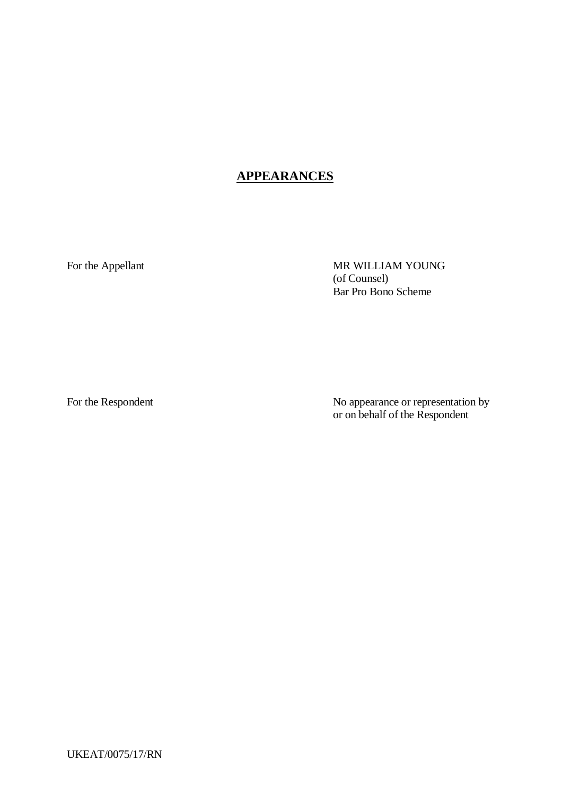# **APPEARANCES**

For the Appellant MR WILLIAM YOUNG (of Counsel) Bar Pro Bono Scheme

For the Respondent No appearance or representation by or on behalf of the Respondent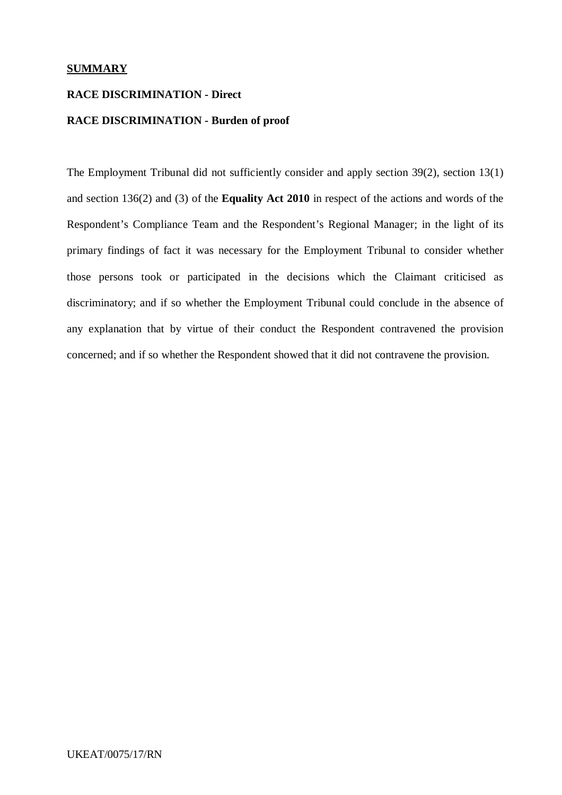## **SUMMARY**

## **RACE DISCRIMINATION - Direct**

## **RACE DISCRIMINATION - Burden of proof**

The Employment Tribunal did not sufficiently consider and apply section 39(2), section 13(1) and section 136(2) and (3) of the **Equality Act 2010** in respect of the actions and words of the Respondent's Compliance Team and the Respondent's Regional Manager; in the light of its primary findings of fact it was necessary for the Employment Tribunal to consider whether those persons took or participated in the decisions which the Claimant criticised as discriminatory; and if so whether the Employment Tribunal could conclude in the absence of any explanation that by virtue of their conduct the Respondent contravened the provision concerned; and if so whether the Respondent showed that it did not contravene the provision.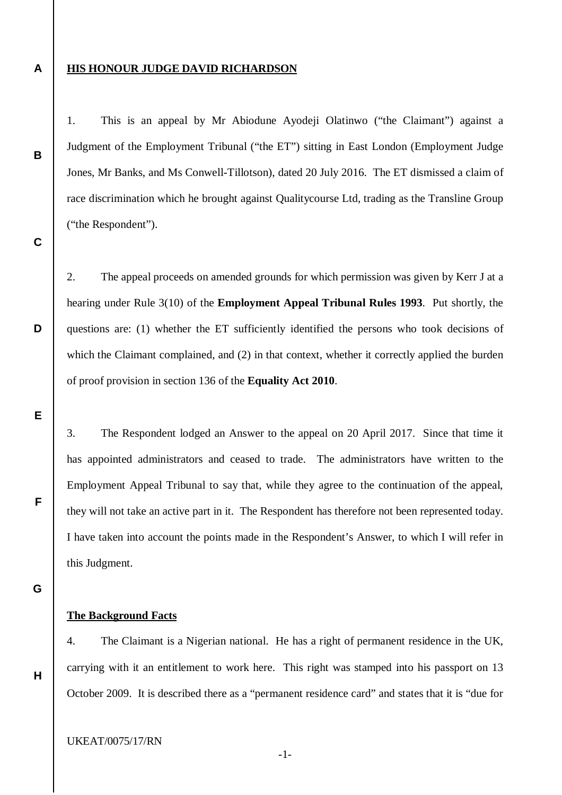### **A**

**B**

**C**

**D**

**E**

**F**

## **HIS HONOUR JUDGE DAVID RICHARDSON**

1. This is an appeal by Mr Abiodune Ayodeji Olatinwo ("the Claimant") against a Judgment of the Employment Tribunal ("the ET") sitting in East London (Employment Judge Jones, Mr Banks, and Ms Conwell-Tillotson), dated 20 July 2016. The ET dismissed a claim of race discrimination which he brought against Qualitycourse Ltd, trading as the Transline Group ("the Respondent").

2. The appeal proceeds on amended grounds for which permission was given by Kerr J at a hearing under Rule 3(10) of the **Employment Appeal Tribunal Rules 1993**. Put shortly, the questions are: (1) whether the ET sufficiently identified the persons who took decisions of which the Claimant complained, and (2) in that context, whether it correctly applied the burden of proof provision in section 136 of the **Equality Act 2010**.

3. The Respondent lodged an Answer to the appeal on 20 April 2017. Since that time it has appointed administrators and ceased to trade. The administrators have written to the Employment Appeal Tribunal to say that, while they agree to the continuation of the appeal, they will not take an active part in it. The Respondent has therefore not been represented today. I have taken into account the points made in the Respondent's Answer, to which I will refer in this Judgment.

**G**

**H**

## **The Background Facts**

4. The Claimant is a Nigerian national. He has a right of permanent residence in the UK, carrying with it an entitlement to work here. This right was stamped into his passport on 13 October 2009. It is described there as a "permanent residence card" and states that it is "due for

UKEAT/0075/17/RN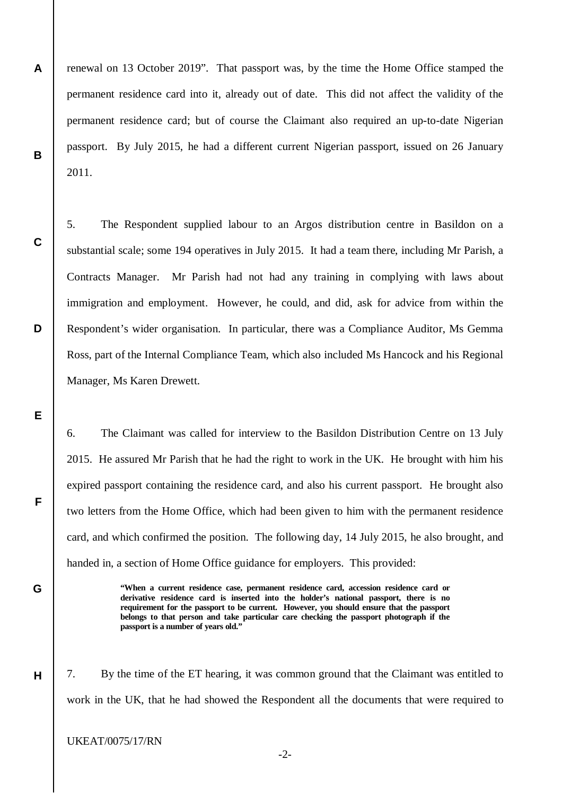**A B** renewal on 13 October 2019". That passport was, by the time the Home Office stamped the permanent residence card into it, already out of date. This did not affect the validity of the permanent residence card; but of course the Claimant also required an up-to-date Nigerian passport. By July 2015, he had a different current Nigerian passport, issued on 26 January 2011.

5. The Respondent supplied labour to an Argos distribution centre in Basildon on a substantial scale; some 194 operatives in July 2015. It had a team there, including Mr Parish, a Contracts Manager. Mr Parish had not had any training in complying with laws about immigration and employment. However, he could, and did, ask for advice from within the Respondent's wider organisation. In particular, there was a Compliance Auditor, Ms Gemma Ross, part of the Internal Compliance Team, which also included Ms Hancock and his Regional Manager, Ms Karen Drewett.

6. The Claimant was called for interview to the Basildon Distribution Centre on 13 July 2015. He assured Mr Parish that he had the right to work in the UK. He brought with him his expired passport containing the residence card, and also his current passport. He brought also two letters from the Home Office, which had been given to him with the permanent residence card, and which confirmed the position. The following day, 14 July 2015, he also brought, and handed in, a section of Home Office guidance for employers. This provided:

> **"When a current residence case, permanent residence card, accession residence card or derivative residence card is inserted into the holder's national passport, there is no requirement for the passport to be current. However, you should ensure that the passport belongs to that person and take particular care checking the passport photograph if the passport is a number of years old."**

7. By the time of the ET hearing, it was common ground that the Claimant was entitled to work in the UK, that he had showed the Respondent all the documents that were required to

UKEAT/0075/17/RN

**C**

**D**

**E**

**F**

**G**

**H**

-2-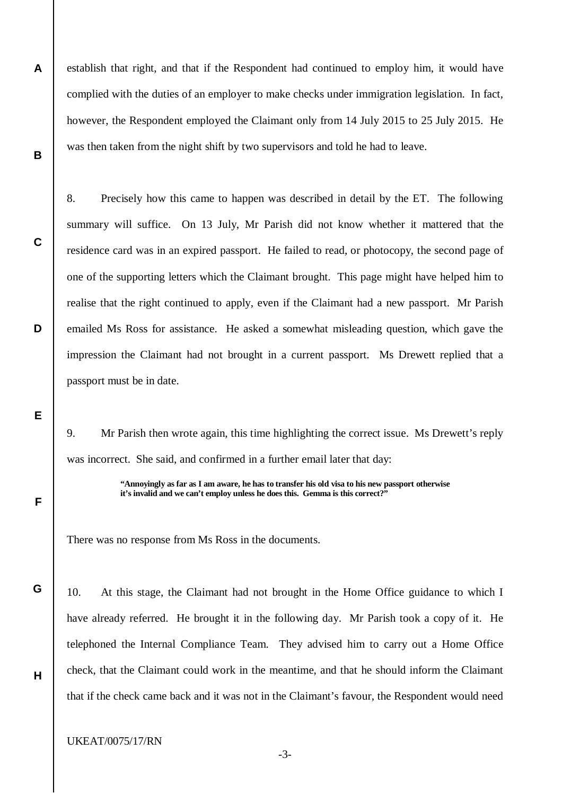establish that right, and that if the Respondent had continued to employ him, it would have complied with the duties of an employer to make checks under immigration legislation. In fact, however, the Respondent employed the Claimant only from 14 July 2015 to 25 July 2015. He was then taken from the night shift by two supervisors and told he had to leave.

8. Precisely how this came to happen was described in detail by the ET. The following summary will suffice. On 13 July, Mr Parish did not know whether it mattered that the residence card was in an expired passport. He failed to read, or photocopy, the second page of one of the supporting letters which the Claimant brought. This page might have helped him to realise that the right continued to apply, even if the Claimant had a new passport. Mr Parish emailed Ms Ross for assistance. He asked a somewhat misleading question, which gave the impression the Claimant had not brought in a current passport. Ms Drewett replied that a passport must be in date.

9. Mr Parish then wrote again, this time highlighting the correct issue. Ms Drewett's reply was incorrect. She said, and confirmed in a further email later that day:

> **"Annoyingly as far as I am aware, he has to transfer his old visa to his new passport otherwise it's invalid and we can't employ unless he does this. Gemma is this correct?"**

There was no response from Ms Ross in the documents.

10. At this stage, the Claimant had not brought in the Home Office guidance to which I have already referred. He brought it in the following day. Mr Parish took a copy of it. He telephoned the Internal Compliance Team. They advised him to carry out a Home Office check, that the Claimant could work in the meantime, and that he should inform the Claimant that if the check came back and it was not in the Claimant's favour, the Respondent would need

**A**

**B**

**C**

**D**

**E**

**F**

**G**

**H**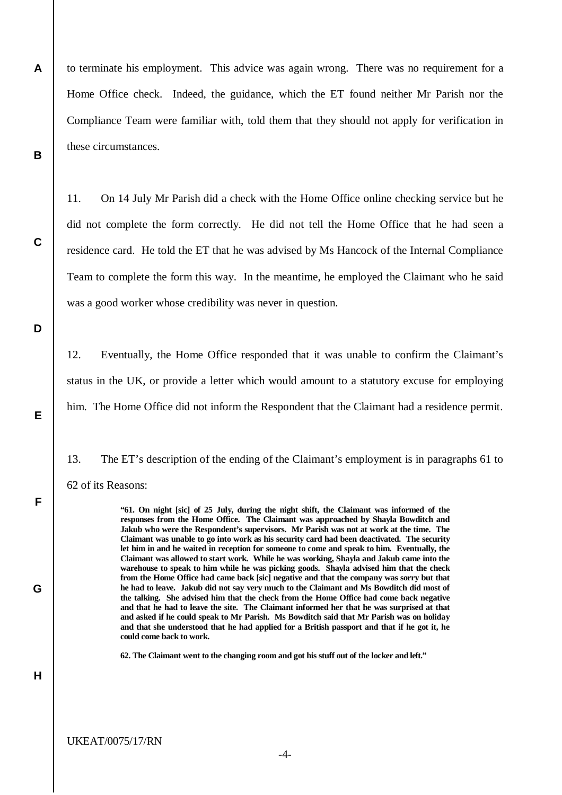**A B** to terminate his employment. This advice was again wrong. There was no requirement for a Home Office check. Indeed, the guidance, which the ET found neither Mr Parish nor the Compliance Team were familiar with, told them that they should not apply for verification in these circumstances.

11. On 14 July Mr Parish did a check with the Home Office online checking service but he did not complete the form correctly. He did not tell the Home Office that he had seen a residence card. He told the ET that he was advised by Ms Hancock of the Internal Compliance Team to complete the form this way. In the meantime, he employed the Claimant who he said was a good worker whose credibility was never in question.

12. Eventually, the Home Office responded that it was unable to confirm the Claimant's status in the UK, or provide a letter which would amount to a statutory excuse for employing him. The Home Office did not inform the Respondent that the Claimant had a residence permit.

13. The ET's description of the ending of the Claimant's employment is in paragraphs 61 to 62 of its Reasons:

> **"61. On night [sic] of 25 July, during the night shift, the Claimant was informed of the responses from the Home Office. The Claimant was approached by Shayla Bowditch and Jakub who were the Respondent's supervisors. Mr Parish was not at work at the time. The Claimant was unable to go into work as his security card had been deactivated. The security let him in and he waited in reception for someone to come and speak to him. Eventually, the Claimant was allowed to start work. While he was working, Shayla and Jakub came into the warehouse to speak to him while he was picking goods. Shayla advised him that the check from the Home Office had came back [sic] negative and that the company was sorry but that he had to leave. Jakub did not say very much to the Claimant and Ms Bowditch did most of the talking. She advised him that the check from the Home Office had come back negative and that he had to leave the site. The Claimant informed her that he was surprised at that and asked if he could speak to Mr Parish. Ms Bowditch said that Mr Parish was on holiday and that she understood that he had applied for a British passport and that if he got it, he could come back to work.**

**62. The Claimant went to the changing room and got his stuff out of the locker and left."**

**C**

**D**

**E**

**F**

**G**

**H**

UKEAT/0075/17/RN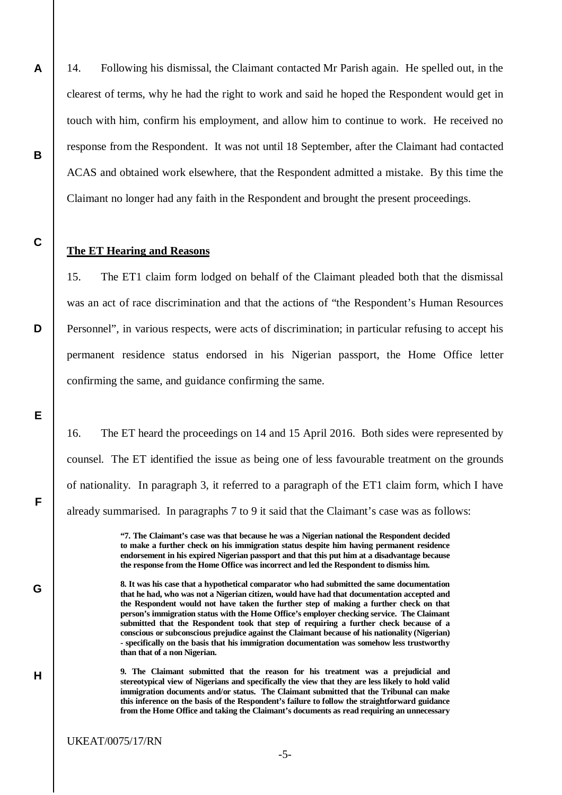14. Following his dismissal, the Claimant contacted Mr Parish again. He spelled out, in the clearest of terms, why he had the right to work and said he hoped the Respondent would get in touch with him, confirm his employment, and allow him to continue to work. He received no response from the Respondent. It was not until 18 September, after the Claimant had contacted ACAS and obtained work elsewhere, that the Respondent admitted a mistake. By this time the Claimant no longer had any faith in the Respondent and brought the present proceedings.

## **The ET Hearing and Reasons**

**A**

**B**

**C**

**D**

**E**

**F**

**G**

**H**

15. The ET1 claim form lodged on behalf of the Claimant pleaded both that the dismissal was an act of race discrimination and that the actions of "the Respondent's Human Resources Personnel", in various respects, were acts of discrimination; in particular refusing to accept his permanent residence status endorsed in his Nigerian passport, the Home Office letter confirming the same, and guidance confirming the same.

16. The ET heard the proceedings on 14 and 15 April 2016. Both sides were represented by counsel. The ET identified the issue as being one of less favourable treatment on the grounds of nationality. In paragraph 3, it referred to a paragraph of the ET1 claim form, which I have already summarised. In paragraphs 7 to 9 it said that the Claimant's case was as follows:

> **"7. The Claimant's case was that because he was a Nigerian national the Respondent decided to make a further check on his immigration status despite him having permanent residence endorsement in his expired Nigerian passport and that this put him at a disadvantage because the response from the Home Office was incorrect and led the Respondent to dismiss him.**

> **8. It was his case that a hypothetical comparator who had submitted the same documentation that he had, who was not a Nigerian citizen, would have had that documentation accepted and the Respondent would not have taken the further step of making a further check on that person's immigration status with the Home Office's employer checking service. The Claimant submitted that the Respondent took that step of requiring a further check because of a conscious or subconscious prejudice against the Claimant because of his nationality (Nigerian) - specifically on the basis that his immigration documentation was somehow less trustworthy than that of a non Nigerian.**

> **9. The Claimant submitted that the reason for his treatment was a prejudicial and stereotypical view of Nigerians and specifically the view that they are less likely to hold valid immigration documents and/or status. The Claimant submitted that the Tribunal can make this inference on the basis of the Respondent's failure to follow the straightforward guidance from the Home Office and taking the Claimant's documents as read requiring an unnecessary**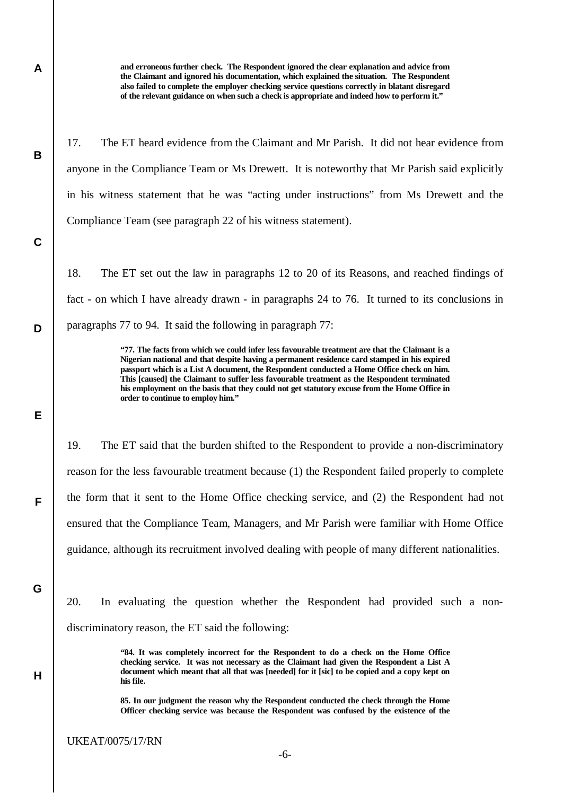**and erroneous further check. The Respondent ignored the clear explanation and advice from the Claimant and ignored his documentation, which explained the situation. The Respondent also failed to complete the employer checking service questions correctly in blatant disregard of the relevant guidance on when such a check is appropriate and indeed how to perform it."**

17. The ET heard evidence from the Claimant and Mr Parish. It did not hear evidence from anyone in the Compliance Team or Ms Drewett. It is noteworthy that Mr Parish said explicitly in his witness statement that he was "acting under instructions" from Ms Drewett and the Compliance Team (see paragraph 22 of his witness statement).

18. The ET set out the law in paragraphs 12 to 20 of its Reasons, and reached findings of fact - on which I have already drawn - in paragraphs 24 to 76. It turned to its conclusions in paragraphs 77 to 94. It said the following in paragraph 77:

> **"77. The facts from which we could infer less favourable treatment are that the Claimant is a Nigerian national and that despite having a permanent residence card stamped in his expired passport which is a List A document, the Respondent conducted a Home Office check on him. This [caused] the Claimant to suffer less favourable treatment as the Respondent terminated his employment on the basis that they could not get statutory excuse from the Home Office in order to continue to employ him."**

19. The ET said that the burden shifted to the Respondent to provide a non-discriminatory reason for the less favourable treatment because (1) the Respondent failed properly to complete the form that it sent to the Home Office checking service, and (2) the Respondent had not ensured that the Compliance Team, Managers, and Mr Parish were familiar with Home Office guidance, although its recruitment involved dealing with people of many different nationalities.

20. In evaluating the question whether the Respondent had provided such a nondiscriminatory reason, the ET said the following:

> **"84. It was completely incorrect for the Respondent to do a check on the Home Office checking service. It was not necessary as the Claimant had given the Respondent a List A document which meant that all that was [needed] for it [sic] to be copied and a copy kept on his file.**

> **85. In our judgment the reason why the Respondent conducted the check through the Home Officer checking service was because the Respondent was confused by the existence of the**

**A**

**B**

**C**

**D**

**E**

**F**

**G**

**H**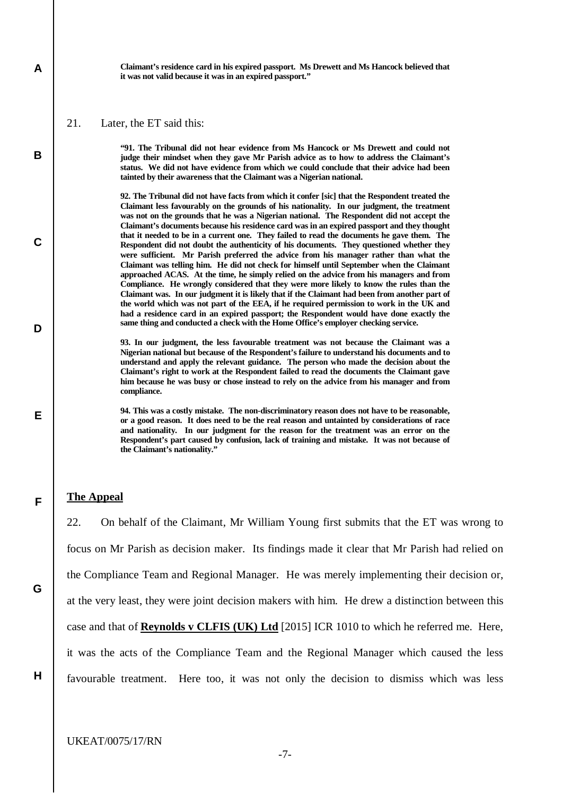**Claimant's residence card in his expired passport. Ms Drewett and Ms Hancock believed that it was not valid because it was in an expired passport."**

21. Later, the ET said this:

**A**

**B**

**C**

**D**

**E**

**F**

**"91. The Tribunal did not hear evidence from Ms Hancock or Ms Drewett and could not judge their mindset when they gave Mr Parish advice as to how to address the Claimant's status. We did not have evidence from which we could conclude that their advice had been tainted by their awareness that the Claimant was a Nigerian national.**

**92. The Tribunal did not have facts from which it confer [sic] that the Respondent treated the Claimant less favourably on the grounds of his nationality. In our judgment, the treatment was not on the grounds that he was a Nigerian national. The Respondent did not accept the Claimant's documents because his residence card was in an expired passport and they thought that it needed to be in a current one. They failed to read the documents he gave them. The Respondent did not doubt the authenticity of his documents. They questioned whether they were sufficient. Mr Parish preferred the advice from his manager rather than what the Claimant was telling him. He did not check for himself until September when the Claimant approached ACAS. At the time, he simply relied on the advice from his managers and from Compliance. He wrongly considered that they were more likely to know the rules than the Claimant was. In our judgment it is likely that if the Claimant had been from another part of the world which was not part of the EEA, if he required permission to work in the UK and had a residence card in an expired passport; the Respondent would have done exactly the same thing and conducted a check with the Home Office's employer checking service.**

**93. In our judgment, the less favourable treatment was not because the Claimant was a Nigerian national but because of the Respondent's failure to understand his documents and to understand and apply the relevant guidance. The person who made the decision about the Claimant's right to work at the Respondent failed to read the documents the Claimant gave him because he was busy or chose instead to rely on the advice from his manager and from compliance.**

**94. This was a costly mistake. The non-discriminatory reason does not have to be reasonable, or a good reason. It does need to be the real reason and untainted by considerations of race and nationality. In our judgment for the reason for the treatment was an error on the Respondent's part caused by confusion, lack of training and mistake. It was not because of the Claimant's nationality."**

## **The Appeal**

22. On behalf of the Claimant, Mr William Young first submits that the ET was wrong to focus on Mr Parish as decision maker. Its findings made it clear that Mr Parish had relied on the Compliance Team and Regional Manager. He was merely implementing their decision or, at the very least, they were joint decision makers with him. He drew a distinction between this case and that of **Reynolds v CLFIS (UK) Ltd** [2015] ICR 1010 to which he referred me. Here, it was the acts of the Compliance Team and the Regional Manager which caused the less favourable treatment. Here too, it was not only the decision to dismiss which was less

**G**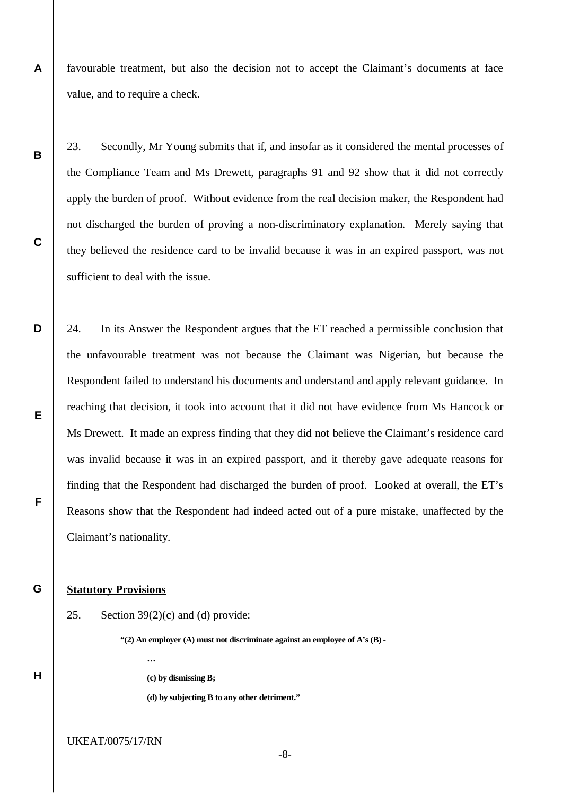**A** favourable treatment, but also the decision not to accept the Claimant's documents at face value, and to require a check.

23. Secondly, Mr Young submits that if, and insofar as it considered the mental processes of the Compliance Team and Ms Drewett, paragraphs 91 and 92 show that it did not correctly apply the burden of proof. Without evidence from the real decision maker, the Respondent had not discharged the burden of proving a non-discriminatory explanation. Merely saying that they believed the residence card to be invalid because it was in an expired passport, was not sufficient to deal with the issue.

**D E F** 24. In its Answer the Respondent argues that the ET reached a permissible conclusion that the unfavourable treatment was not because the Claimant was Nigerian, but because the Respondent failed to understand his documents and understand and apply relevant guidance. In reaching that decision, it took into account that it did not have evidence from Ms Hancock or Ms Drewett. It made an express finding that they did not believe the Claimant's residence card was invalid because it was in an expired passport, and it thereby gave adequate reasons for finding that the Respondent had discharged the burden of proof. Looked at overall, the ET's Reasons show that the Respondent had indeed acted out of a pure mistake, unaffected by the Claimant's nationality.

#### **G Statutory Provisions**

**H**

**B**

**C**

25. Section  $39(2)(c)$  and (d) provide:

**…**

**"(2) An employer (A) must not discriminate against an employee of A's (B) -**

**(c) by dismissing B;**

**(d) by subjecting B to any other detriment."**

UKEAT/0075/17/RN

-8-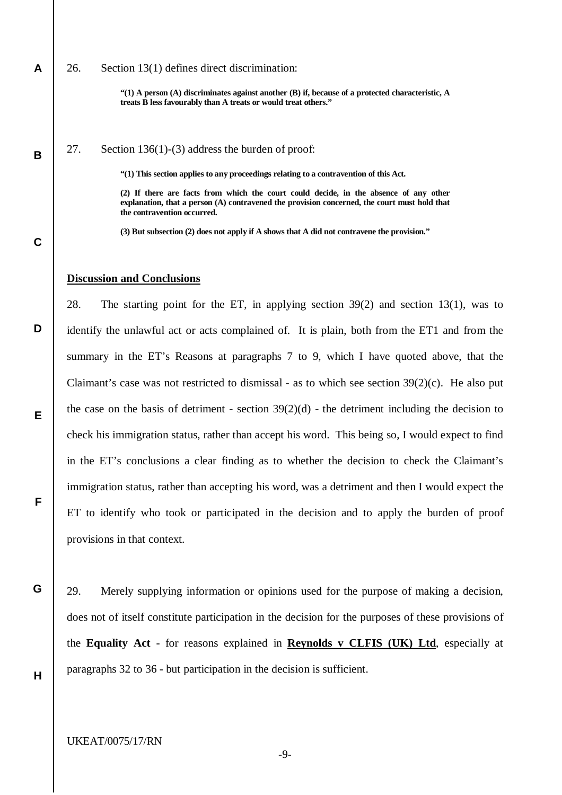## 26. Section 13(1) defines direct discrimination:

**"(1) A person (A) discriminates against another (B) if, because of a protected characteristic, A treats B less favourably than A treats or would treat others."**

27. Section 136(1)-(3) address the burden of proof:

**"(1) This section applies to any proceedings relating to a contravention of this Act.**

**(2) If there are facts from which the court could decide, in the absence of any other explanation, that a person (A) contravened the provision concerned, the court must hold that the contravention occurred.**

**(3) But subsection (2) does not apply if A shows that A did not contravene the provision."**

## **Discussion and Conclusions**

28. The starting point for the ET, in applying section 39(2) and section 13(1), was to identify the unlawful act or acts complained of. It is plain, both from the ET1 and from the summary in the ET's Reasons at paragraphs 7 to 9, which I have quoted above, that the Claimant's case was not restricted to dismissal - as to which see section 39(2)(c). He also put the case on the basis of detriment - section  $39(2)(d)$  - the detriment including the decision to check his immigration status, rather than accept his word. This being so, I would expect to find in the ET's conclusions a clear finding as to whether the decision to check the Claimant's immigration status, rather than accepting his word, was a detriment and then I would expect the ET to identify who took or participated in the decision and to apply the burden of proof provisions in that context.

29. Merely supplying information or opinions used for the purpose of making a decision, does not of itself constitute participation in the decision for the purposes of these provisions of the **Equality Act** - for reasons explained in **Reynolds v CLFIS (UK) Ltd**, especially at paragraphs 32 to 36 - but participation in the decision is sufficient.

**H**

**G**

**A**

**B**

**C**

**D**

**E**

**F**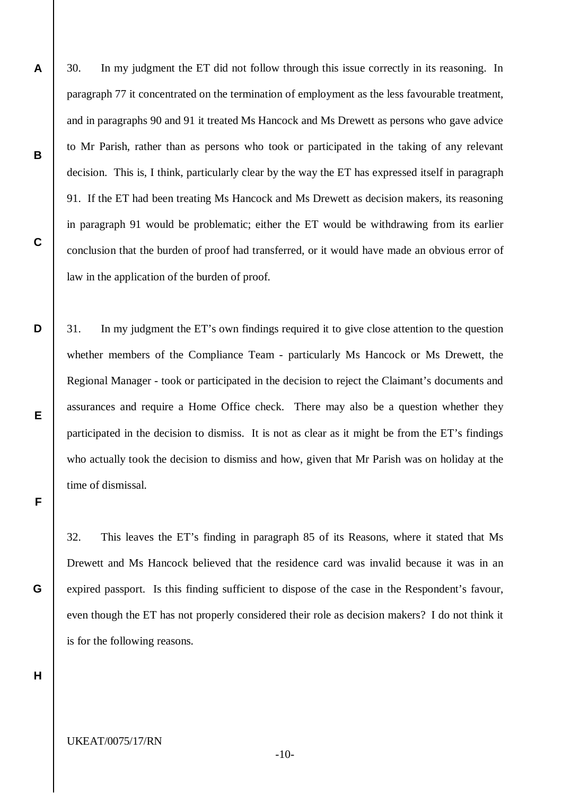30. In my judgment the ET did not follow through this issue correctly in its reasoning. In paragraph 77 it concentrated on the termination of employment as the less favourable treatment, and in paragraphs 90 and 91 it treated Ms Hancock and Ms Drewett as persons who gave advice to Mr Parish, rather than as persons who took or participated in the taking of any relevant decision. This is, I think, particularly clear by the way the ET has expressed itself in paragraph 91. If the ET had been treating Ms Hancock and Ms Drewett as decision makers, its reasoning in paragraph 91 would be problematic; either the ET would be withdrawing from its earlier conclusion that the burden of proof had transferred, or it would have made an obvious error of law in the application of the burden of proof.

31. In my judgment the ET's own findings required it to give close attention to the question whether members of the Compliance Team - particularly Ms Hancock or Ms Drewett, the Regional Manager - took or participated in the decision to reject the Claimant's documents and assurances and require a Home Office check. There may also be a question whether they participated in the decision to dismiss. It is not as clear as it might be from the ET's findings who actually took the decision to dismiss and how, given that Mr Parish was on holiday at the time of dismissal.

32. This leaves the ET's finding in paragraph 85 of its Reasons, where it stated that Ms Drewett and Ms Hancock believed that the residence card was invalid because it was in an expired passport. Is this finding sufficient to dispose of the case in the Respondent's favour, even though the ET has not properly considered their role as decision makers? I do not think it is for the following reasons.

**H**

**A**

**B**

**C**

**D**

**E**

**F**

**G**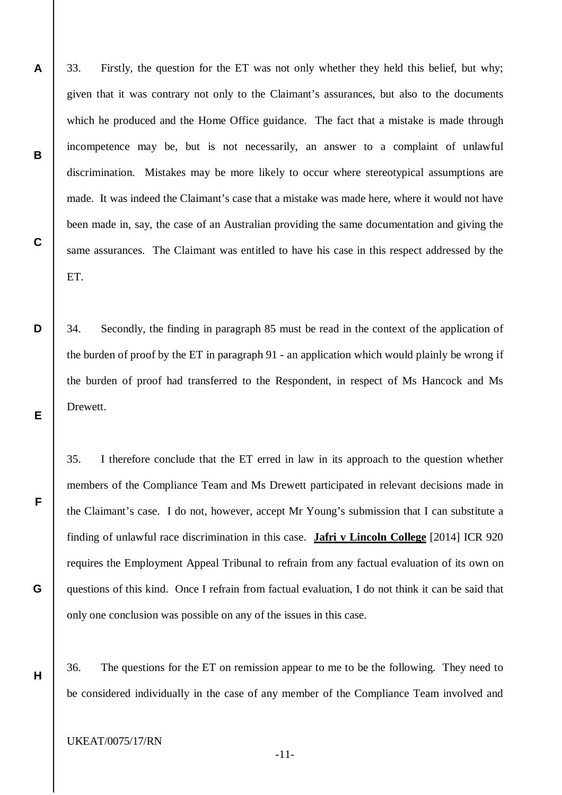- 33. Firstly, the question for the ET was not only whether they held this belief, but why; given that it was contrary not only to the Claimant's assurances, but also to the documents which he produced and the Home Office guidance. The fact that a mistake is made through incompetence may be, but is not necessarily, an answer to a complaint of unlawful discrimination. Mistakes may be more likely to occur where stereotypical assumptions are made. It was indeed the Claimant's case that a mistake was made here, where it would not have been made in, say, the case of an Australian providing the same documentation and giving the same assurances. The Claimant was entitled to have his case in this respect addressed by the ET.
- 34. Secondly, the finding in paragraph 85 must be read in the context of the application of the burden of proof by the ET in paragraph 91 - an application which would plainly be wrong if the burden of proof had transferred to the Respondent, in respect of Ms Hancock and Ms Drewett.

35. I therefore conclude that the ET erred in law in its approach to the question whether members of the Compliance Team and Ms Drewett participated in relevant decisions made in the Claimant's case. I do not, however, accept Mr Young's submission that I can substitute a finding of unlawful race discrimination in this case. **Jafri v Lincoln College** [2014] ICR 920 requires the Employment Appeal Tribunal to refrain from any factual evaluation of its own on questions of this kind. Once I refrain from factual evaluation, I do not think it can be said that only one conclusion was possible on any of the issues in this case.

36. The questions for the ET on remission appear to me to be the following. They need to be considered individually in the case of any member of the Compliance Team involved and

UKEAT/0075/17/RN

**A**

**B**

**C**

**D**

**E**

**F**

**G**

**H**

-11-